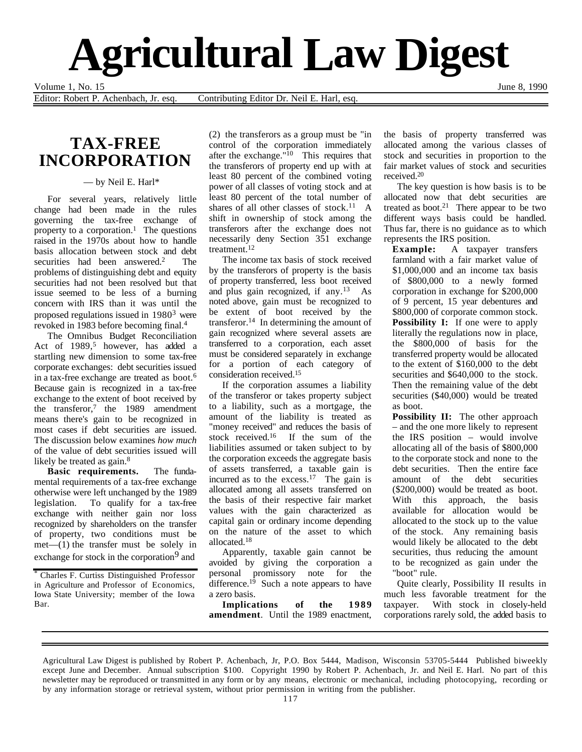

Volume 1, No. 15 June 8, 1990

Editor: Robert P. Achenbach, Jr. esq. Contributing Editor Dr. Neil E. Harl, esq.

## **TAX-FREE INCORPORATION**

— by Neil E. Harl\*

For several years, relatively little change had been made in the rules governing the tax-free exchange of property to a corporation.<sup>1</sup> The questions raised in the 1970s about how to handle basis allocation between stock and debt securities had been answered.<sup>2</sup> The securities had been answered.<sup>2</sup> problems of distinguishing debt and equity securities had not been resolved but that issue seemed to be less of a burning concern with IRS than it was until the proposed regulations issued in 19803 were revoked in 1983 before becoming final.4

The Omnibus Budget Reconciliation Act of 1989,<sup>5</sup> however, has added a startling new dimension to some tax-free corporate exchanges: debt securities issued in a tax-free exchange are treated as boot.6 Because gain is recognized in a tax-free exchange to the extent of boot received by the transferor, $7$  the 1989 amendment means there's gain to be recognized in most cases if debt securities are issued. The discussion below examines *how much* of the value of debt securities issued will likely be treated as gain.<sup>8</sup>

**Basic requirements.** The fundamental requirements of a tax-free exchange otherwise were left unchanged by the 1989 legislation. To qualify for a tax-free exchange with neither gain nor loss recognized by shareholders on the transfer of property, two conditions must be  $met-(1)$  the transfer must be solely in exchange for stock in the corporation<sup>9</sup> and

\* Charles F. Curtiss Distinguished Professor in Agriculture and Professor of Economics, Iowa State University; member of the Iowa Bar.

(2) the transferors as a group must be "in control of the corporation immediately after the exchange." $10$  This requires that the transferors of property end up with at least 80 percent of the combined voting power of all classes of voting stock and at least 80 percent of the total number of shares of all other classes of stock.<sup>11</sup> A shift in ownership of stock among the transferors after the exchange does not necessarily deny Section 351 exchange treatment.12

The income tax basis of stock received by the transferors of property is the basis of property transferred, less boot received and plus gain recognized, if any.<sup>13</sup> As noted above, gain must be recognized to be extent of boot received by the transferor.14 In determining the amount of gain recognized where several assets are transferred to a corporation, each asset must be considered separately in exchange for a portion of each category of consideration received.15

If the corporation assumes a liability of the transferor or takes property subject to a liability, such as a mortgage, the amount of the liability is treated as "money received" and reduces the basis of stock received.16 If the sum of the liabilities assumed or taken subject to by the corporation exceeds the aggregate basis of assets transferred, a taxable gain is incurred as to the excess.<sup>17</sup> The gain is allocated among all assets transferred on the basis of their respective fair market values with the gain characterized as capital gain or ordinary income depending on the nature of the asset to which allocated.18

Apparently, taxable gain cannot be avoided by giving the corporation a personal promissory note for the difference.<sup>19</sup> Such a note appears to have a zero basis.

**Implications of the 1989 amendment**. Until the 1989 enactment, the basis of property transferred was allocated among the various classes of stock and securities in proportion to the fair market values of stock and securities received.20

The key question is how basis is to be allocated now that debt securities are treated as boot.<sup>21</sup> There appear to be two different ways basis could be handled. Thus far, there is no guidance as to which represents the IRS position.

**Example:** A taxpayer transfers farmland with a fair market value of \$1,000,000 and an income tax basis of \$800,000 to a newly formed corporation in exchange for \$200,000 of 9 percent, 15 year debentures and \$800,000 of corporate common stock. **Possibility I:** If one were to apply literally the regulations now in place, the \$800,000 of basis for the transferred property would be allocated to the extent of \$160,000 to the debt securities and \$640,000 to the stock. Then the remaining value of the debt securities (\$40,000) would be treated as boot.

**Possibility II:** The other approach – and the one more likely to represent the IRS position – would involve allocating all of the basis of \$800,000 to the corporate stock and none to the debt securities. Then the entire face amount of the debt securities (\$200,000) would be treated as boot. With this approach, the basis available for allocation would be allocated to the stock up to the value of the stock. Any remaining basis would likely be allocated to the debt securities, thus reducing the amount to be recognized as gain under the "boot" rule.

Quite clearly, Possibility II results in much less favorable treatment for the taxpayer. With stock in closely-held corporations rarely sold, the added basis to

Agricultural Law Digest is published by Robert P. Achenbach, Jr, P.O. Box 5444, Madison, Wisconsin 53705-5444 Published biweekly except June and December. Annual subscription \$100. Copyright 1990 by Robert P. Achenbach, Jr. and Neil E. Harl. No part of this newsletter may be reproduced or transmitted in any form or by any means, electronic or mechanical, including photocopying, recording or by any information storage or retrieval system, without prior permission in writing from the publisher.